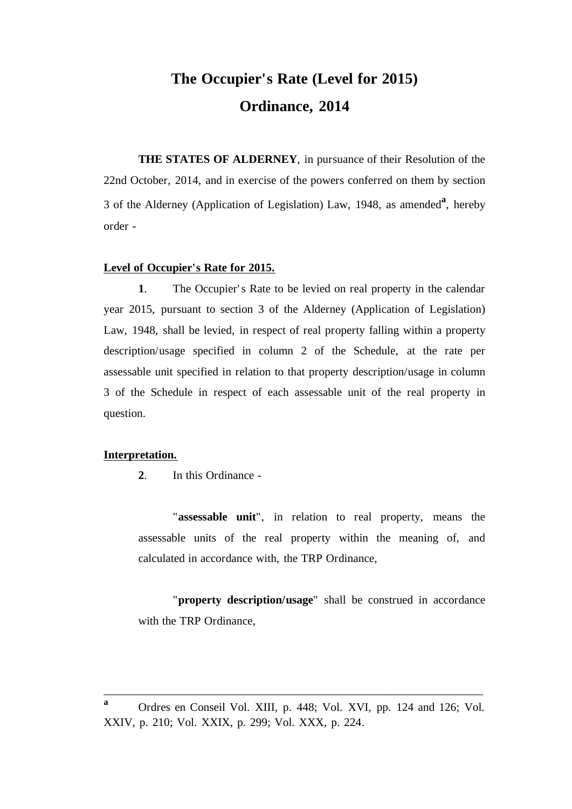# **The Occupier's Rate (Level for 2015) Ordinance, 2014**

**THE STATES OF ALDERNEY**, in pursuance of their Resolution of the 22nd October, 2014, and in exercise of the powers conferred on them by section 3 of the Alderney (Application of Legislation) Law, 1948, as amended**<sup>a</sup>** , hereby order -

#### **Level of Occupier's Rate for 2015.**

**1**. The Occupier's Rate to be levied on real property in the calendar year 2015, pursuant to section 3 of the Alderney (Application of Legislation) Law, 1948, shall be levied, in respect of real property falling within a property description/usage specified in column 2 of the Schedule, at the rate per assessable unit specified in relation to that property description/usage in column 3 of the Schedule in respect of each assessable unit of the real property in question.

#### **Interpretation.**

**2**. In this Ordinance -

"**assessable unit**", in relation to real property, means the assessable units of the real property within the meaning of, and calculated in accordance with, the TRP Ordinance,

"**property description/usage**" shall be construed in accordance with the TRP Ordinance,

\_\_\_\_\_\_\_\_\_\_\_\_\_\_\_\_\_\_\_\_\_\_\_\_\_\_\_\_\_\_\_\_\_\_\_\_\_\_\_\_\_\_\_\_\_\_\_\_\_\_\_\_\_\_\_\_\_\_\_\_\_\_\_\_\_\_

**a** Ordres en Conseil Vol. XIII, p. 448; Vol. XVI, pp. 124 and 126; Vol. XXIV, p. 210; Vol. XXIX, p. 299; Vol. XXX, p. 224.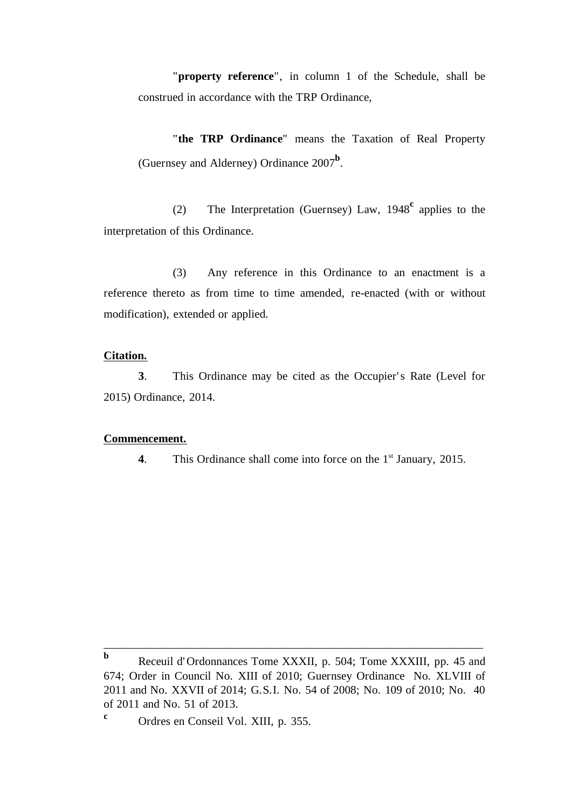"**property reference**", in column 1 of the Schedule, shall be construed in accordance with the TRP Ordinance,

"**the TRP Ordinance**" means the Taxation of Real Property (Guernsey and Alderney) Ordinance 2007**<sup>b</sup>** .

(2) The Interpretation (Guernsey) Law, 1948**<sup>c</sup>** applies to the interpretation of this Ordinance.

(3) Any reference in this Ordinance to an enactment is a reference thereto as from time to time amended, re-enacted (with or without modification), extended or applied.

#### **Citation.**

**3**. This Ordinance may be cited as the Occupier' s Rate (Level for 2015) Ordinance, 2014.

#### **Commencement.**

**4**. This Ordinance shall come into force on the 1<sup>st</sup> January, 2015.

\_\_\_\_\_\_\_\_\_\_\_\_\_\_\_\_\_\_\_\_\_\_\_\_\_\_\_\_\_\_\_\_\_\_\_\_\_\_\_\_\_\_\_\_\_\_\_\_\_\_\_\_\_\_\_\_\_\_\_\_\_\_\_\_\_\_

**b** Receuil d' Ordonnances Tome XXXII, p. 504; Tome XXXIII, pp. 45 and 674; Order in Council No. XIII of 2010; Guernsey Ordinance No. XLVIII of 2011 and No. XXVII of 2014; G.S.I. No. 54 of 2008; No. 109 of 2010; No. 40 of 2011 and No. 51 of 2013.

<sup>&</sup>lt;sup>c</sup> Ordres en Conseil Vol. XIII, p. 355.